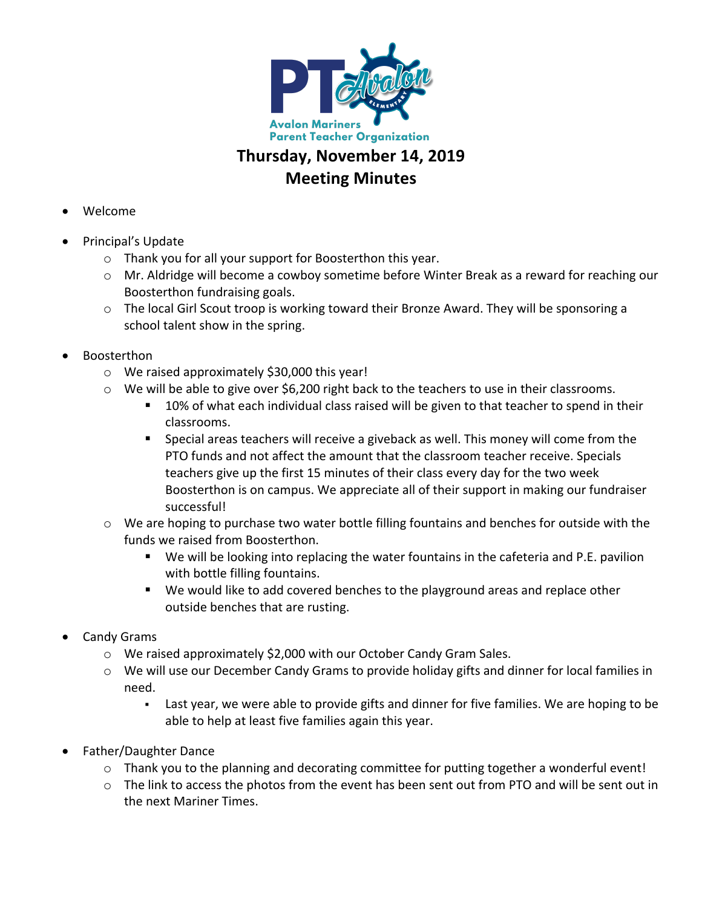

## **Meeting Minutes**

- Welcome
- Principal's Update
	- $\circ$  Thank you for all your support for Boosterthon this year.
	- $\circ$  Mr. Aldridge will become a cowboy sometime before Winter Break as a reward for reaching our Boosterthon fundraising goals.
	- $\circ$  The local Girl Scout troop is working toward their Bronze Award. They will be sponsoring a school talent show in the spring.
- Boosterthon
	- $\circ$  We raised approximately \$30,000 this year!
	- $\circ$  We will be able to give over \$6,200 right back to the teachers to use in their classrooms.
		- 10% of what each individual class raised will be given to that teacher to spend in their classrooms.
		- Special areas teachers will receive a giveback as well. This money will come from the PTO funds and not affect the amount that the classroom teacher receive. Specials teachers give up the first 15 minutes of their class every day for the two week Boosterthon is on campus. We appreciate all of their support in making our fundraiser successful!
	- $\circ$  We are hoping to purchase two water bottle filling fountains and benches for outside with the funds we raised from Boosterthon.
		- $\blacksquare$  We will be looking into replacing the water fountains in the cafeteria and P.E. pavilion with bottle filling fountains.
		- We would like to add covered benches to the playground areas and replace other outside benches that are rusting.
- Candy Grams
	- $\circ$  We raised approximately \$2,000 with our October Candy Gram Sales.
	- $\circ$  We will use our December Candy Grams to provide holiday gifts and dinner for local families in need.
		- Last year, we were able to provide gifts and dinner for five families. We are hoping to be able to help at least five families again this year.
- Father/Daughter Dance
	- $\circ$  Thank you to the planning and decorating committee for putting together a wonderful event!
	- $\circ$  The link to access the photos from the event has been sent out from PTO and will be sent out in the next Mariner Times.